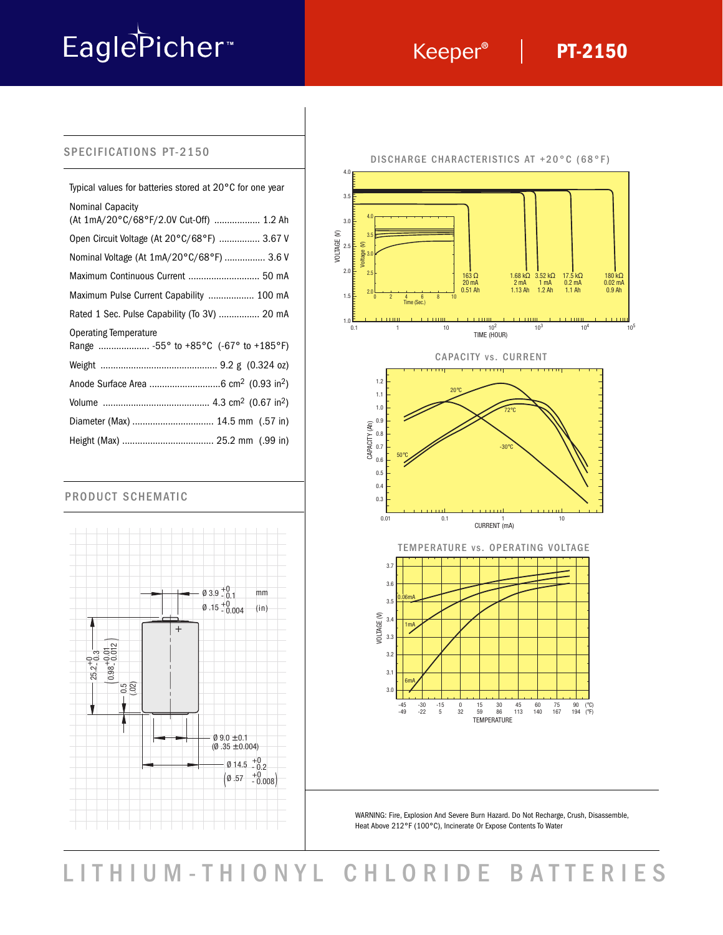# EaglePicher<sup>®</sup>

## **PT-2150**

#### SPECIFICATIONS PT-2150

| Typical values for batteries stored at 20°C for one year              |
|-----------------------------------------------------------------------|
| Nominal Capacity<br>(At 1mA/20°C/68°F/2.0V Cut-Off)  1.2 Ah           |
| Open Circuit Voltage (At 20°C/68°F)  3.67 V                           |
| Nominal Voltage (At 1mA/20°C/68°F)  3.6 V                             |
| Maximum Continuous Current  50 mA                                     |
| Maximum Pulse Current Capability  100 mA                              |
| Rated 1 Sec. Pulse Capability (To 3V)  20 mA                          |
| <b>Operating Temperature</b><br>Range  -55° to +85°C (-67° to +185°F) |
|                                                                       |
|                                                                       |
|                                                                       |
|                                                                       |
|                                                                       |

#### PRODUCT SCHEMATIC





WARNING: Fire, Explosion And Severe Burn Hazard. Do Not Recharge, Crush, Disassemble, Heat Above 212°F (100°C), Incinerate Or Expose Contents To Water

LITHIUM-THIONYL CHLORIDE BATTERIES